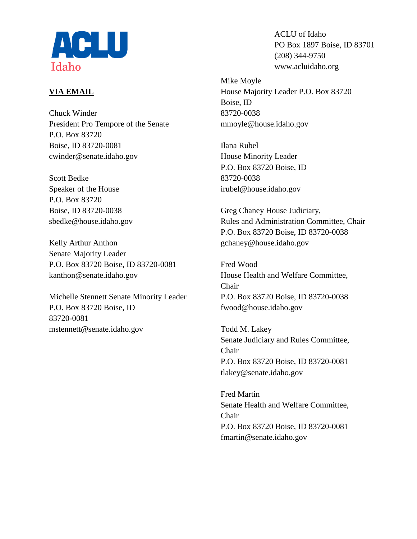

# **VIA EMAIL**

Chuck Winder President Pro Tempore of the Senate P.O. Box 83720 Boise, ID 83720-0081 cwinder@senate.idaho.gov

Scott Bedke Speaker of the House P.O. Box 83720 Boise, ID 83720-0038 sbedke@house.idaho.gov

Kelly Arthur Anthon Senate Majority Leader P.O. Box 83720 Boise, ID 83720-0081 kanthon@senate.idaho.gov

Michelle Stennett Senate Minority Leader P.O. Box 83720 Boise, ID 83720-0081 mstennett@senate.idaho.gov

ACLU of Idaho PO Box 1897 Boise, ID 83701 (208) 344-9750 www.acluidaho.org

Mike Moyle House Majority Leader P.O. Box 83720 Boise, ID 83720-0038 mmoyle@house.idaho.gov

Ilana Rubel House Minority Leader P.O. Box 83720 Boise, ID 83720-0038 irubel@house.idaho.gov

Greg Chaney House Judiciary, Rules and Administration Committee, Chair P.O. Box 83720 Boise, ID 83720-0038 gchaney@house.idaho.gov

Fred Wood House Health and Welfare Committee, Chair P.O. Box 83720 Boise, ID 83720-0038 fwood@house.idaho.gov

Todd M. Lakey Senate Judiciary and Rules Committee, Chair P.O. Box 83720 Boise, ID 83720-0081 tlakey@senate.idaho.gov

Fred Martin Senate Health and Welfare Committee, Chair P.O. Box 83720 Boise, ID 83720-0081 fmartin@senate.idaho.gov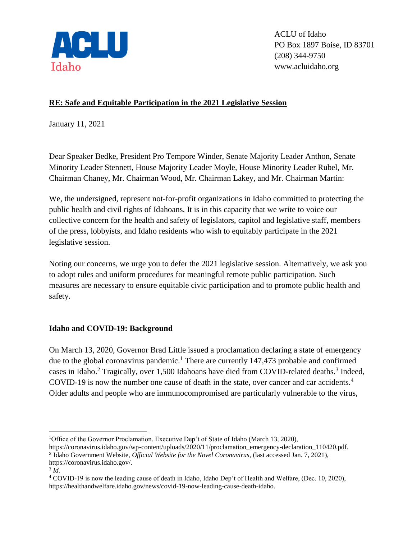

ACLU of Idaho PO Box 1897 Boise, ID 83701 (208) 344-9750 www.acluidaho.org

## **RE: Safe and Equitable Participation in the 2021 Legislative Session**

January 11, 2021

Dear Speaker Bedke, President Pro Tempore Winder, Senate Majority Leader Anthon, Senate Minority Leader Stennett, House Majority Leader Moyle, House Minority Leader Rubel, Mr. Chairman Chaney, Mr. Chairman Wood, Mr. Chairman Lakey, and Mr. Chairman Martin:

We, the undersigned, represent not-for-profit organizations in Idaho committed to protecting the public health and civil rights of Idahoans. It is in this capacity that we write to voice our collective concern for the health and safety of legislators, capitol and legislative staff, members of the press, lobbyists, and Idaho residents who wish to equitably participate in the 2021 legislative session.

Noting our concerns, we urge you to defer the 2021 legislative session. Alternatively, we ask you to adopt rules and uniform procedures for meaningful remote public participation. Such measures are necessary to ensure equitable civic participation and to promote public health and safety.

#### **Idaho and COVID-19: Background**

On March 13, 2020, Governor Brad Little issued a proclamation declaring a state of emergency due to the global coronavirus pandemic.<sup>1</sup> There are currently 147,473 probable and confirmed cases in Idaho.<sup>2</sup> Tragically, over 1,500 Idahoans have died from COVID-related deaths.<sup>3</sup> Indeed, COVID-19 is now the number one cause of death in the state, over cancer and car accidents.<sup>4</sup> Older adults and people who are immunocompromised are particularly vulnerable to the virus,

https://coronavirus.idaho.gov/wp-content/uploads/2020/11/proclamation\_emergency-declaration\_110420.pdf.

 $\overline{a}$ 

<sup>&</sup>lt;sup>1</sup>Office of the Governor Proclamation. Executive Dep't of State of Idaho (March 13, 2020),

<sup>2</sup> Idaho Government Website, *Official Website for the Novel Coronavirus*, (last accessed Jan. 7, 2021), https://coronavirus.idaho.gov/.

<sup>3</sup> *Id.* 

<sup>4</sup> COVID-19 is now the leading cause of death in Idaho, Idaho Dep't of Health and Welfare, (Dec. 10, 2020), https://healthandwelfare.idaho.gov/news/covid-19-now-leading-cause-death-idaho.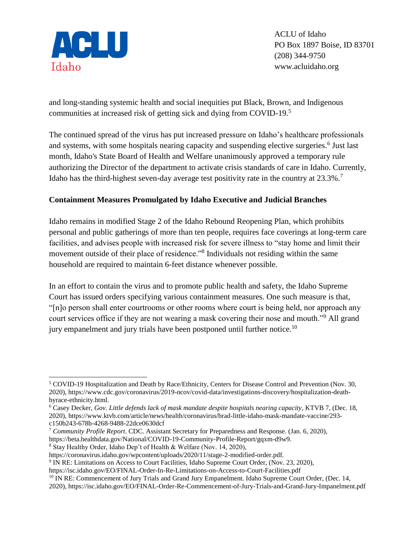

ACLU of Idaho PO Box 1897 Boise, ID 83701 (208) 344-9750 www.acluidaho.org

and long-standing systemic health and social inequities put Black, Brown, and Indigenous communities at increased risk of getting sick and dying from COVID-19.<sup>5</sup>

The continued spread of the virus has put increased pressure on Idaho's healthcare professionals and systems, with some hospitals nearing capacity and suspending elective surgeries.<sup>6</sup> Just last month, Idaho's State Board of Health and Welfare unanimously approved a temporary rule authorizing the Director of the department to activate crisis standards of care in Idaho. Currently, Idaho has the third-highest seven-day average test positivity rate in the country at  $23.3\%$ .<sup>7</sup>

## **Containment Measures Promulgated by Idaho Executive and Judicial Branches**

Idaho remains in modified Stage 2 of the Idaho Rebound Reopening Plan, which prohibits personal and public gatherings of more than ten people, requires face coverings at long-term care facilities, and advises people with increased risk for severe illness to "stay home and limit their movement outside of their place of residence."<sup>8</sup> Individuals not residing within the same household are required to maintain 6-feet distance whenever possible.

In an effort to contain the virus and to promote public health and safety, the Idaho Supreme Court has issued orders specifying various containment measures. One such measure is that, "[n]o person shall enter courtrooms or other rooms where court is being held, nor approach any court services office if they are not wearing a mask covering their nose and mouth."<sup>9</sup> All grand jury empanelment and jury trials have been postponed until further notice.<sup>10</sup>

<sup>5</sup> COVID-19 Hospitalization and Death by Race/Ethnicity, Centers for Disease Control and Prevention (Nov. 30, 2020), https://www.cdc.gov/coronavirus/2019-ncov/covid-data/investigations-discovery/hospitalization-deathbyrace-ethnicity.html.

<sup>6</sup> Casey Decker, *Gov. Little defends lack of mask mandate despite hospitals nearing capacity*, KTVB 7, (Dec. 18, 2020), https://www.ktvb.com/article/news/health/coronavirus/brad-little-idaho-mask-mandate-vaccine/293 c150b243-678b-4268-9488-22dce0630dcf

<sup>7</sup> *Community Profile Report*. CDC. Assistant Secretary for Preparedness and Response. (Jan. 6, 2020),

https://beta.healthdata.gov/National/COVID-19-Community-Profile-Report/gqxm-d9w9.

<sup>8</sup> Stay Healthy Order, Idaho Dep't of Health & Welfare (Nov. 14, 2020),

https://coronavirus.idaho.gov/wpcontent/uploads/2020/11/stage-2-modified-order.pdf.

<sup>9</sup> IN RE: Limitations on Access to Court Facilities, Idaho Supreme Court Order, (Nov. 23, 2020),

https://isc.idaho.gov/EO/FINAL-Order-In-Re-Limitations-on-Access-to-Court-Facilities.pdf

<sup>&</sup>lt;sup>10</sup> IN RE: Commencement of Jury Trials and Grand Jury Empanelment. Idaho Supreme Court Order, (Dec. 14,

<sup>2020),</sup> https://isc.idaho.gov/EO/FINAL-Order-Re-Commencement-of-Jury-Trials-and-Grand-Jury-Impanelment.pdf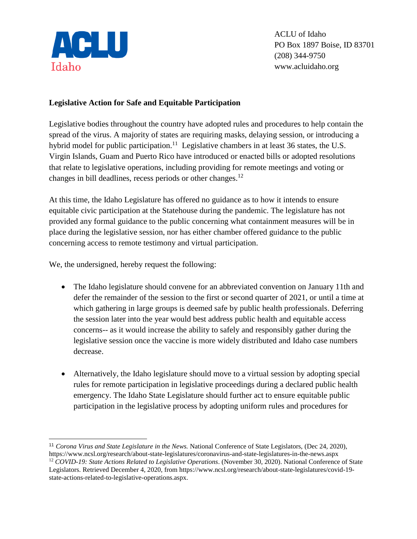

 $\overline{a}$ 

ACLU of Idaho PO Box 1897 Boise, ID 83701 (208) 344-9750 www.acluidaho.org

### **Legislative Action for Safe and Equitable Participation**

Legislative bodies throughout the country have adopted rules and procedures to help contain the spread of the virus. A majority of states are requiring masks, delaying session, or introducing a hybrid model for public participation.<sup>11</sup> Legislative chambers in at least 36 states, the U.S. Virgin Islands, Guam and Puerto Rico have introduced or enacted bills or adopted resolutions that relate to legislative operations, including providing for remote meetings and voting or changes in bill deadlines, recess periods or other changes.<sup>12</sup>

At this time, the Idaho Legislature has offered no guidance as to how it intends to ensure equitable civic participation at the Statehouse during the pandemic. The legislature has not provided any formal guidance to the public concerning what containment measures will be in place during the legislative session, nor has either chamber offered guidance to the public concerning access to remote testimony and virtual participation.

We, the undersigned, hereby request the following:

- The Idaho legislature should convene for an abbreviated convention on January 11th and defer the remainder of the session to the first or second quarter of 2021, or until a time at which gathering in large groups is deemed safe by public health professionals. Deferring the session later into the year would best address public health and equitable access concerns-- as it would increase the ability to safely and responsibly gather during the legislative session once the vaccine is more widely distributed and Idaho case numbers decrease.
- Alternatively, the Idaho legislature should move to a virtual session by adopting special rules for remote participation in legislative proceedings during a declared public health emergency. The Idaho State Legislature should further act to ensure equitable public participation in the legislative process by adopting uniform rules and procedures for

<sup>11</sup> *Corona Virus and State Legislature in the News.* National Conference of State Legislators, (Dec 24, 2020), https://www.ncsl.org/research/about-state-legislatures/coronavirus-and-state-legislatures-in-the-news.aspx <sup>12</sup> *COVID-19: State Actions Related to Legislative Operations*. (November 30, 2020). National Conference of State Legislators. Retrieved December 4, 2020, from https://www.ncsl.org/research/about-state-legislatures/covid-19 state-actions-related-to-legislative-operations.aspx.